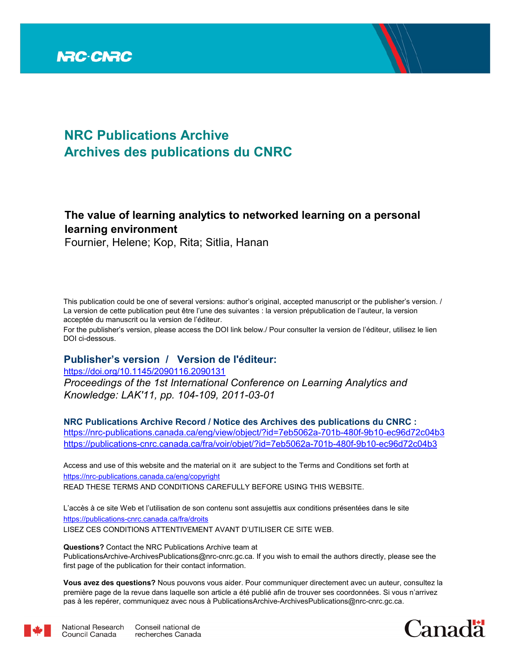

# **NRC Publications Archive Archives des publications du CNRC**

## **The value of learning analytics to networked learning on a personal learning environment**

Fournier, Helene; Kop, Rita; Sitlia, Hanan

This publication could be one of several versions: author's original, accepted manuscript or the publisher's version. / La version de cette publication peut être l'une des suivantes : la version prépublication de l'auteur, la version acceptée du manuscrit ou la version de l'éditeur.

For the publisher's version, please access the DOI link below./ Pour consulter la version de l'éditeur, utilisez le lien DOI ci-dessous.

#### **Publisher's version / Version de l'éditeur:**

*Proceedings of the 1st International Conference on Learning Analytics and Knowledge: LAK'11, pp. 104-109, 2011-03-01* https://doi.org/10.1145/2090116.2090131

**NRC Publications Archive Record / Notice des Archives des publications du CNRC :** https://nrc-publications.canada.ca/eng/view/object/?id=7eb5062a-701b-480f-9b10-ec96d72c04b3 https://publications-cnrc.canada.ca/fra/voir/objet/?id=7eb5062a-701b-480f-9b10-ec96d72c04b3

READ THESE TERMS AND CONDITIONS CAREFULLY BEFORE USING THIS WEBSITE. https://nrc-publications.canada.ca/eng/copyright Access and use of this website and the material on it are subject to the Terms and Conditions set forth at

https://publications-cnrc.canada.ca/fra/droits L'accès à ce site Web et l'utilisation de son contenu sont assujettis aux conditions présentées dans le site LISEZ CES CONDITIONS ATTENTIVEMENT AVANT D'UTILISER CE SITE WEB.

**Questions?** Contact the NRC Publications Archive team at

PublicationsArchive-ArchivesPublications@nrc-cnrc.gc.ca. If you wish to email the authors directly, please see the first page of the publication for their contact information.

**Vous avez des questions?** Nous pouvons vous aider. Pour communiquer directement avec un auteur, consultez la première page de la revue dans laquelle son article a été publié afin de trouver ses coordonnées. Si vous n'arrivez pas à les repérer, communiquez avec nous à PublicationsArchive-ArchivesPublications@nrc-cnrc.gc.ca.





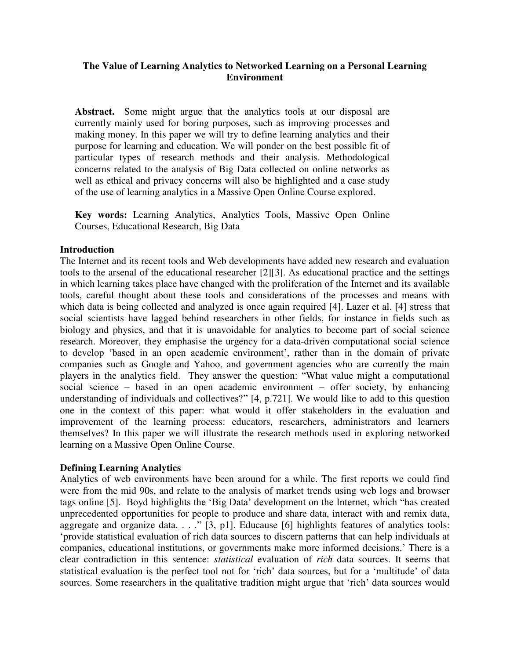#### **The Value of Learning Analytics to Networked Learning on a Personal Learning Environment**

**Abstract.** Some might argue that the analytics tools at our disposal are currently mainly used for boring purposes, such as improving processes and making money. In this paper we will try to define learning analytics and their purpose for learning and education. We will ponder on the best possible fit of particular types of research methods and their analysis. Methodological concerns related to the analysis of Big Data collected on online networks as well as ethical and privacy concerns will also be highlighted and a case study of the use of learning analytics in a Massive Open Online Course explored.

**Key words:** Learning Analytics, Analytics Tools, Massive Open Online Courses, Educational Research, Big Data

#### **Introduction**

The Internet and its recent tools and Web developments have added new research and evaluation tools to the arsenal of the educational researcher [2][3]. As educational practice and the settings in which learning takes place have changed with the proliferation of the Internet and its available tools, careful thought about these tools and considerations of the processes and means with which data is being collected and analyzed is once again required [4]. Lazer et al. [4] stress that social scientists have lagged behind researchers in other fields, for instance in fields such as biology and physics, and that it is unavoidable for analytics to become part of social science research. Moreover, they emphasise the urgency for a data-driven computational social science to develop 'based in an open academic environment', rather than in the domain of private companies such as Google and Yahoo, and government agencies who are currently the main players in the analytics field. They answer the question: "What value might a computational social science – based in an open academic environment – offer society, by enhancing understanding of individuals and collectives?" [4, p.721]. We would like to add to this question one in the context of this paper: what would it offer stakeholders in the evaluation and improvement of the learning process: educators, researchers, administrators and learners themselves? In this paper we will illustrate the research methods used in exploring networked learning on a Massive Open Online Course.

#### **Defining Learning Analytics**

Analytics of web environments have been around for a while. The first reports we could find were from the mid 90s, and relate to the analysis of market trends using web logs and browser tags online [5]. Boyd highlights the "Big Data" development on the Internet, which "has created unprecedented opportunities for people to produce and share data, interact with and remix data, aggregate and organize data. . . . . . [3, p1]. Educause [6] highlights features of analytics tools: "provide statistical evaluation of rich data sources to discern patterns that can help individuals at companies, educational institutions, or governments make more informed decisions." There is a clear contradiction in this sentence: *statistical* evaluation of *rich* data sources. It seems that statistical evaluation is the perfect tool not for "rich" data sources, but for a "multitude" of data sources. Some researchers in the qualitative tradition might argue that 'rich' data sources would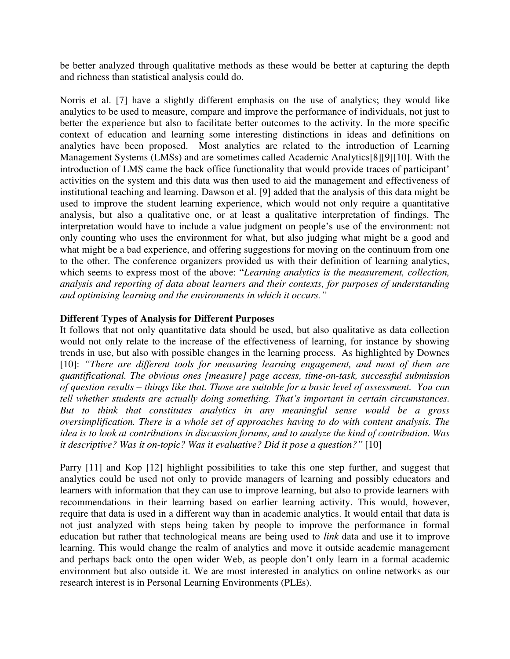be better analyzed through qualitative methods as these would be better at capturing the depth and richness than statistical analysis could do.

Norris et al. [7] have a slightly different emphasis on the use of analytics; they would like analytics to be used to measure, compare and improve the performance of individuals, not just to better the experience but also to facilitate better outcomes to the activity. In the more specific context of education and learning some interesting distinctions in ideas and definitions on analytics have been proposed. Most analytics are related to the introduction of Learning Management Systems (LMSs) and are sometimes called Academic Analytics[8][9][10]. With the introduction of LMS came the back office functionality that would provide traces of participant' activities on the system and this data was then used to aid the management and effectiveness of institutional teaching and learning. Dawson et al. [9] added that the analysis of this data might be used to improve the student learning experience, which would not only require a quantitative analysis, but also a qualitative one, or at least a qualitative interpretation of findings. The interpretation would have to include a value judgment on people"s use of the environment: not only counting who uses the environment for what, but also judging what might be a good and what might be a bad experience, and offering suggestions for moving on the continuum from one to the other. The conference organizers provided us with their definition of learning analytics, which seems to express most of the above: "*Learning analytics is the measurement, collection, analysis and reporting of data about learners and their contexts, for purposes of understanding and optimising learning and the environments in which it occurs."*

#### **Different Types of Analysis for Different Purposes**

It follows that not only quantitative data should be used, but also qualitative as data collection would not only relate to the increase of the effectiveness of learning, for instance by showing trends in use, but also with possible changes in the learning process. As highlighted by Downes [10]: *"There are different tools for measuring learning engagement, and most of them are quantificational. The obvious ones [measure] page access, time-on-task, successful submission of question results – things like that. Those are suitable for a basic level of assessment. You can tell whether students are actually doing something. That's important in certain circumstances. But to think that constitutes analytics in any meaningful sense would be a gross oversimplification. There is a whole set of approaches having to do with content analysis. The idea is to look at contributions in discussion forums, and to analyze the kind of contribution. Was it descriptive? Was it on-topic? Was it evaluative? Did it pose a question?"* [10]

Parry [11] and Kop [12] highlight possibilities to take this one step further, and suggest that analytics could be used not only to provide managers of learning and possibly educators and learners with information that they can use to improve learning, but also to provide learners with recommendations in their learning based on earlier learning activity. This would, however, require that data is used in a different way than in academic analytics. It would entail that data is not just analyzed with steps being taken by people to improve the performance in formal education but rather that technological means are being used to *link* data and use it to improve learning. This would change the realm of analytics and move it outside academic management and perhaps back onto the open wider Web, as people don"t only learn in a formal academic environment but also outside it. We are most interested in analytics on online networks as our research interest is in Personal Learning Environments (PLEs).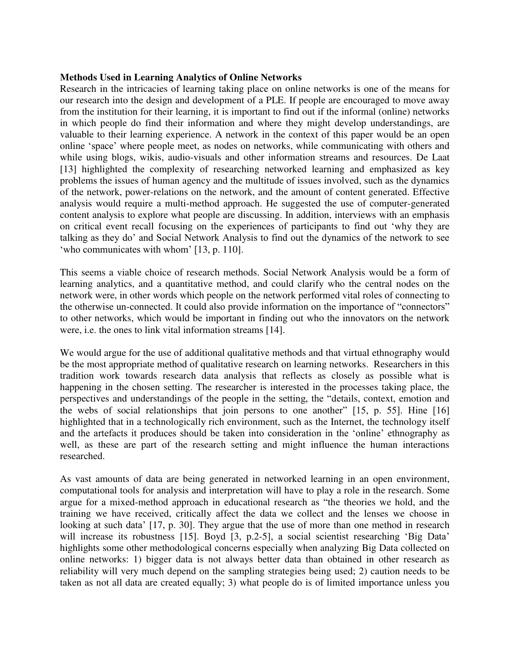#### **Methods Used in Learning Analytics of Online Networks**

Research in the intricacies of learning taking place on online networks is one of the means for our research into the design and development of a PLE. If people are encouraged to move away from the institution for their learning, it is important to find out if the informal (online) networks in which people do find their information and where they might develop understandings, are valuable to their learning experience. A network in the context of this paper would be an open online "space" where people meet, as nodes on networks, while communicating with others and while using blogs, wikis, audio-visuals and other information streams and resources. De Laat [13] highlighted the complexity of researching networked learning and emphasized as key problems the issues of human agency and the multitude of issues involved, such as the dynamics of the network, power-relations on the network, and the amount of content generated. Effective analysis would require a multi-method approach. He suggested the use of computer-generated content analysis to explore what people are discussing. In addition, interviews with an emphasis on critical event recall focusing on the experiences of participants to find out "why they are talking as they do" and Social Network Analysis to find out the dynamics of the network to see 'who communicates with whom' [13, p. 110].

This seems a viable choice of research methods. Social Network Analysis would be a form of learning analytics, and a quantitative method, and could clarify who the central nodes on the network were, in other words which people on the network performed vital roles of connecting to the otherwise un-connected. It could also provide information on the importance of "connectors" to other networks, which would be important in finding out who the innovators on the network were, i.e. the ones to link vital information streams [14].

We would argue for the use of additional qualitative methods and that virtual ethnography would be the most appropriate method of qualitative research on learning networks. Researchers in this tradition work towards research data analysis that reflects as closely as possible what is happening in the chosen setting. The researcher is interested in the processes taking place, the perspectives and understandings of the people in the setting, the "details, context, emotion and the webs of social relationships that join persons to one another" [15, p. 55]. Hine [16] highlighted that in a technologically rich environment, such as the Internet, the technology itself and the artefacts it produces should be taken into consideration in the "online" ethnography as well, as these are part of the research setting and might influence the human interactions researched.

As vast amounts of data are being generated in networked learning in an open environment, computational tools for analysis and interpretation will have to play a role in the research. Some argue for a mixed-method approach in educational research as "the theories we hold, and the training we have received, critically affect the data we collect and the lenses we choose in looking at such data' [17, p. 30]. They argue that the use of more than one method in research will increase its robustness [15]. Boyd [3, p.2-5], a social scientist researching 'Big Data' highlights some other methodological concerns especially when analyzing Big Data collected on online networks: 1) bigger data is not always better data than obtained in other research as reliability will very much depend on the sampling strategies being used; 2) caution needs to be taken as not all data are created equally; 3) what people do is of limited importance unless you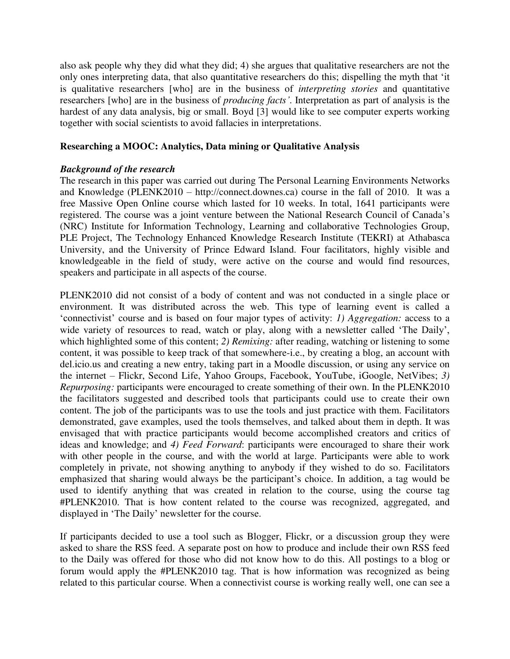also ask people why they did what they did; 4) she argues that qualitative researchers are not the only ones interpreting data, that also quantitative researchers do this; dispelling the myth that "it is qualitative researchers [who] are in the business of *interpreting stories* and quantitative researchers [who] are in the business of *producing facts'*. Interpretation as part of analysis is the hardest of any data analysis, big or small. Boyd [3] would like to see computer experts working together with social scientists to avoid fallacies in interpretations.

#### **Researching a MOOC: Analytics, Data mining or Qualitative Analysis**

#### *Background of the research*

The research in this paper was carried out during The Personal Learning Environments Networks and Knowledge (PLENK2010 – http://connect.downes.ca) course in the fall of 2010. It was a free Massive Open Online course which lasted for 10 weeks. In total, 1641 participants were registered. The course was a joint venture between the National Research Council of Canada"s (NRC) Institute for Information Technology, Learning and collaborative Technologies Group, [PLE Project,](http://ple.elg.ca/) The [Technology Enhanced Knowledge Research Institute](https://tekri.athabascau.ca/) (TEKRI) at Athabasca University, and the University of Prince Edward Island. Four facilitators, highly visible and knowledgeable in the field of study, were active on the course and would find resources, speakers and participate in all aspects of the course.

PLENK2010 did not consist of a body of content and was not conducted in a single place or environment. It was distributed across the web. This type of learning event is called a "connectivist" course and is based on four major types of activity: *1) Aggregation:* access to a wide variety of resources to read, watch or play, along with a newsletter called 'The Daily', which highlighted some of this content; *2) Remixing:* after reading, watching or listening to some content, it was possible to keep track of that somewhere-i.e., by creating a blog, an account with del.icio.us and creating a new entry, taking part in a Moodle discussion, or using any service on the internet – Flickr, Second Life, Yahoo Groups, Facebook, YouTube, iGoogle, NetVibes; *3) Repurposing:* participants were encouraged to create something of their own. In the PLENK2010 the facilitators suggested and described tools that participants could use to create their own content. The job of the participants was to use the tools and just practice with them. Facilitators demonstrated, gave examples, used the tools themselves, and talked about them in depth. It was envisaged that with practice participants would become accomplished creators and critics of ideas and knowledge; and *4) Feed Forward*: participants were encouraged to share their work with other people in the course, and with the world at large. Participants were able to work completely in private, not showing anything to anybody if they wished to do so. Facilitators emphasized that sharing would always be the participant's choice. In addition, a tag would be used to identify anything that was created in relation to the course, using the course tag #PLENK2010. That is how content related to the course was recognized, aggregated, and displayed in "The Daily" newsletter for the course.

If participants decided to use a tool such as Blogger, Flickr, or a discussion group they were asked to share the RSS feed. A separate post on how to produce and include their own RSS feed to the Daily was offered for those who did not know how to do this. All postings to a blog or forum would apply the #PLENK2010 tag. That is how information was recognized as being related to this particular course. When a connectivist course is working really well, one can see a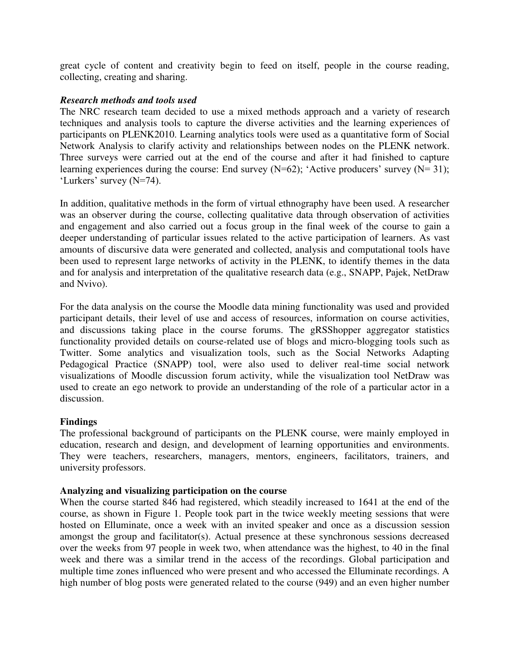great cycle of content and creativity begin to feed on itself, people in the course reading, collecting, creating and sharing.

#### *Research methods and tools used*

The NRC research team decided to use a mixed methods approach and a variety of research techniques and analysis tools to capture the diverse activities and the learning experiences of participants on PLENK2010. Learning analytics tools were used as a quantitative form of Social Network Analysis to clarify activity and relationships between nodes on the PLENK network. Three surveys were carried out at the end of the course and after it had finished to capture learning experiences during the course: End survey  $(N=62)$ ; 'Active producers' survey  $(N=31)$ ; 'Lurkers' survey (N=74).

In addition, qualitative methods in the form of virtual ethnography have been used. A researcher was an observer during the course, collecting qualitative data through observation of activities and engagement and also carried out a focus group in the final week of the course to gain a deeper understanding of particular issues related to the active participation of learners. As vast amounts of discursive data were generated and collected, analysis and computational tools have been used to represent large networks of activity in the PLENK, to identify themes in the data and for analysis and interpretation of the qualitative research data (e.g., SNAPP, Pajek, NetDraw and Nvivo).

For the data analysis on the course the Moodle data mining functionality was used and provided participant details, their level of use and access of resources, information on course activities, and discussions taking place in the course forums. The gRSShopper aggregator statistics functionality provided details on course-related use of blogs and micro-blogging tools such as Twitter. Some analytics and visualization tools, such as the Social Networks Adapting Pedagogical Practice (SNAPP) tool, were also used to deliver real-time social network visualizations of Moodle discussion forum activity, while the visualization tool NetDraw was used to create an ego network to provide an understanding of the role of a particular actor in a discussion.

#### **Findings**

The professional background of participants on the PLENK course, were mainly employed in education, research and design, and development of learning opportunities and environments. They were teachers, researchers, managers, mentors, engineers, facilitators, trainers, and university professors.

#### **Analyzing and visualizing participation on the course**

When the course started 846 had registered, which steadily increased to 1641 at the end of the course, as shown in Figure 1. People took part in the twice weekly meeting sessions that were hosted on Elluminate, once a week with an invited speaker and once as a discussion session amongst the group and facilitator(s). Actual presence at these synchronous sessions decreased over the weeks from 97 people in week two, when attendance was the highest, to 40 in the final week and there was a similar trend in the access of the recordings. Global participation and multiple time zones influenced who were present and who accessed the Elluminate recordings. A high number of blog posts were generated related to the course (949) and an even higher number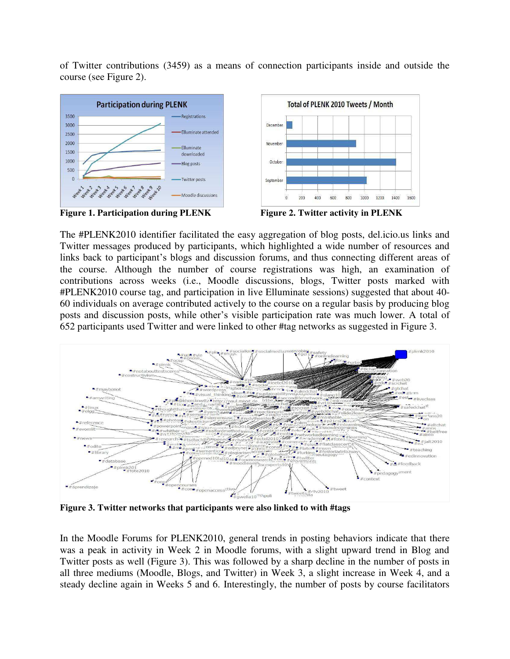of Twitter contributions (3459) as a means of connection participants inside and outside the course (see Figure 2).







The #PLENK2010 identifier facilitated the easy aggregation of blog posts, del.icio.us links and Twitter messages produced by participants, which highlighted a wide number of resources and links back to participant's blogs and discussion forums, and thus connecting different areas of the course. Although the number of course registrations was high, an examination of contributions across weeks (i.e., Moodle discussions, blogs, Twitter posts marked with #PLENK2010 course tag, and participation in live Elluminate sessions) suggested that about 40- 60 individuals on average contributed actively to the course on a regular basis by producing blog posts and discussion posts, while other"s visible participation rate was much lower. A total of 652 participants used Twitter and were linked to other #tag networks as suggested in Figure 3.



**Figure 3. Twitter networks that participants were also linked to with #tags** 

In the Moodle Forums for PLENK2010, general trends in posting behaviors indicate that there was a peak in activity in Week 2 in Moodle forums, with a slight upward trend in Blog and Twitter posts as well (Figure 3). This was followed by a sharp decline in the number of posts in all three mediums (Moodle, Blogs, and Twitter) in Week 3, a slight increase in Week 4, and a steady decline again in Weeks 5 and 6. Interestingly, the number of posts by course facilitators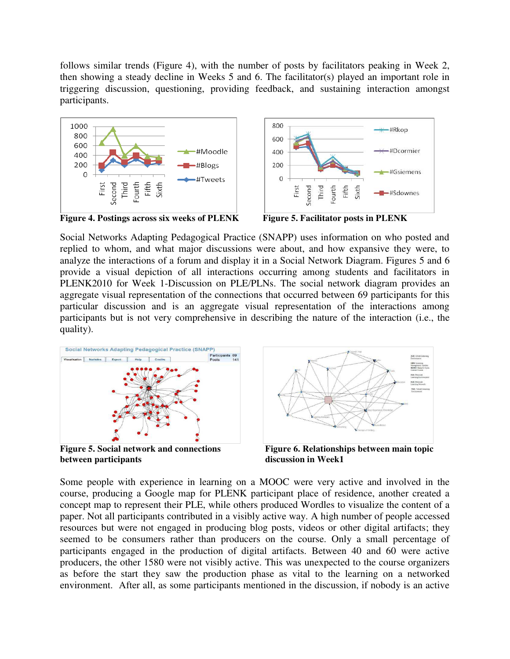follows similar trends (Figure 4), with the number of posts by facilitators peaking in Week 2, then showing a steady decline in Weeks 5 and 6. The facilitator(s) played an important role in triggering discussion, questioning, providing feedback, and sustaining interaction amongst participants.





**Figure 4. Postings across six weeks of PLENK Figure 5. Facilitator posts in PLENK**

Social Networks Adapting Pedagogical Practice (SNAPP) uses information on who posted and replied to whom, and what major discussions were about, and how expansive they were, to analyze the interactions of a forum and display it in a Social Network Diagram. Figures 5 and 6 provide a visual depiction of all interactions occurring among students and facilitators in PLENK2010 for Week 1-Discussion on PLE/PLNs. The social network diagram provides an aggregate visual representation of the connections that occurred between 69 participants for this particular discussion and is an aggregate visual representation of the interactions among participants but is not very comprehensive in describing the nature of the interaction (i.e., the quality).



**between participants** discussion in Week1



Figure 5. Social network and connections Figure 6. Relationships between main topic

Some people with experience in learning on a MOOC were very active and involved in the course, producing a Google map for PLENK participant place of residence, another created a concept map to represent their PLE, while others produced Wordles to visualize the content of a paper. Not all participants contributed in a visibly active way. A high number of people accessed resources but were not engaged in producing blog posts, videos or other digital artifacts; they seemed to be consumers rather than producers on the course. Only a small percentage of participants engaged in the production of digital artifacts. Between 40 and 60 were active producers, the other 1580 were not visibly active. This was unexpected to the course organizers as before the start they saw the production phase as vital to the learning on a networked environment. After all, as some participants mentioned in the discussion, if nobody is an active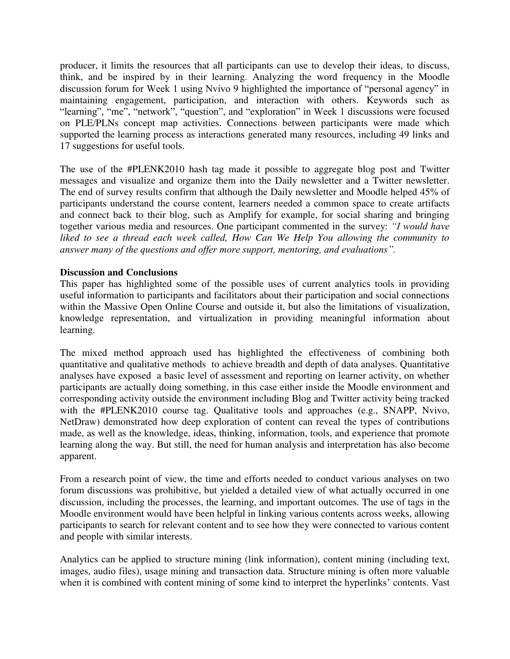producer, it limits the resources that all participants can use to develop their ideas, to discuss, think, and be inspired by in their learning. Analyzing the word frequency in the Moodle discussion forum for Week 1 using Nvivo 9 highlighted the importance of "personal agency" in maintaining engagement, participation, and interaction with others. Keywords such as "learning", "me", "network", "question", and "exploration" in Week 1 discussions were focused on PLE/PLNs concept map activities. Connections between participants were made which supported the learning process as interactions generated many resources, including 49 links and 17 suggestions for useful tools.

The use of the #PLENK2010 hash tag made it possible to aggregate blog post and Twitter messages and visualize and organize them into the Daily newsletter and a Twitter newsletter. The end of survey results confirm that although the Daily newsletter and Moodle helped 45% of participants understand the course content, learners needed a common space to create artifacts and connect back to their blog, such as Amplify for example, for social sharing and bringing together various media and resources. One participant commented in the survey: *"I would have liked to see a thread each week called, How Can We Help You allowing the community to answer many of the questions and offer more support, mentoring, and evaluations".*

#### **Discussion and Conclusions**

This paper has highlighted some of the possible uses of current analytics tools in providing useful information to participants and facilitators about their participation and social connections within the Massive Open Online Course and outside it, but also the limitations of visualization, knowledge representation, and virtualization in providing meaningful information about learning.

The mixed method approach used has highlighted the effectiveness of combining both quantitative and qualitative methods to achieve breadth and depth of data analyses. Quantitative analyses have exposed a basic level of assessment and reporting on learner activity, on whether participants are actually doing something, in this case either inside the Moodle environment and corresponding activity outside the environment including Blog and Twitter activity being tracked with the #PLENK2010 course tag. Qualitative tools and approaches (e.g., SNAPP, Nvivo, NetDraw) demonstrated how deep exploration of content can reveal the types of contributions made, as well as the knowledge, ideas, thinking, information, tools, and experience that promote learning along the way. But still, the need for human analysis and interpretation has also become apparent.

From a research point of view, the time and efforts needed to conduct various analyses on two forum discussions was prohibitive, but yielded a detailed view of what actually occurred in one discussion, including the processes, the learning, and important outcomes. The use of tags in the Moodle environment would have been helpful in linking various contents across weeks, allowing participants to search for relevant content and to see how they were connected to various content and people with similar interests.

Analytics can be applied to structure mining (link information), content mining (including text, images, audio files), usage mining and transaction data. Structure mining is often more valuable when it is combined with content mining of some kind to interpret the hyperlinks' contents. Vast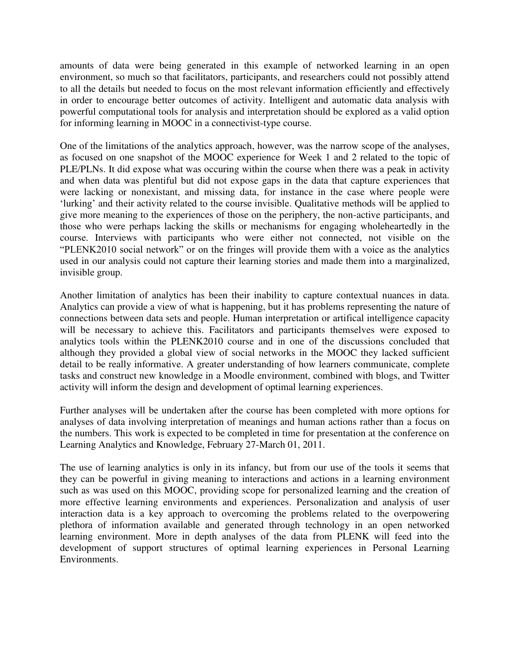amounts of data were being generated in this example of networked learning in an open environment, so much so that facilitators, participants, and researchers could not possibly attend to all the details but needed to focus on the most relevant information efficiently and effectively in order to encourage better outcomes of activity. Intelligent and automatic data analysis with powerful computational tools for analysis and interpretation should be explored as a valid option for informing learning in MOOC in a connectivist-type course.

One of the limitations of the analytics approach, however, was the narrow scope of the analyses, as focused on one snapshot of the MOOC experience for Week 1 and 2 related to the topic of PLE/PLNs. It did expose what was occuring within the course when there was a peak in activity and when data was plentiful but did not expose gaps in the data that capture experiences that were lacking or nonexistant, and missing data, for instance in the case where people were 'lurking' and their activity related to the course invisible. Qualitative methods will be applied to give more meaning to the experiences of those on the periphery, the non-active participants, and those who were perhaps lacking the skills or mechanisms for engaging wholeheartedly in the course. Interviews with participants who were either not connected, not visible on the "PLENK2010 social network" or on the fringes will provide them with a voice as the analytics used in our analysis could not capture their learning stories and made them into a marginalized, invisible group.

Another limitation of analytics has been their inability to capture contextual nuances in data. Analytics can provide a view of what is happening, but it has problems representing the nature of connections between data sets and people. Human interpretation or artifical intelligence capacity will be necessary to achieve this. Facilitators and participants themselves were exposed to analytics tools within the PLENK2010 course and in one of the discussions concluded that although they provided a global view of social networks in the MOOC they lacked sufficient detail to be really informative. A greater understanding of how learners communicate, complete tasks and construct new knowledge in a Moodle environment, combined with blogs, and Twitter activity will inform the design and development of optimal learning experiences.

Further analyses will be undertaken after the course has been completed with more options for analyses of data involving interpretation of meanings and human actions rather than a focus on the numbers. This work is expected to be completed in time for presentation at the conference on Learning Analytics and Knowledge, February 27-March 01, 2011.

The use of learning analytics is only in its infancy, but from our use of the tools it seems that they can be powerful in giving meaning to interactions and actions in a learning environment such as was used on this MOOC, providing scope for personalized learning and the creation of more effective learning environments and experiences. Personalization and analysis of user interaction data is a key approach to overcoming the problems related to the overpowering plethora of information available and generated through technology in an open networked learning environment. More in depth analyses of the data from PLENK will feed into the development of support structures of optimal learning experiences in Personal Learning Environments.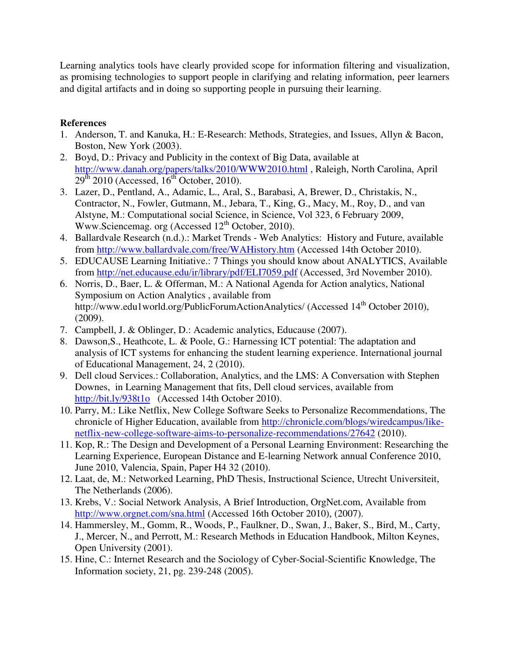Learning analytics tools have clearly provided scope for information filtering and visualization, as promising technologies to support people in clarifying and relating information, peer learners and digital artifacts and in doing so supporting people in pursuing their learning.

### **References**

- 1. Anderson, T. and Kanuka, H.: E-Research: Methods, Strategies, and Issues, Allyn & Bacon, Boston, New York (2003).
- 2. Boyd, D.: Privacy and Publicity in the context of Big Data, available at <http://www.danah.org/papers/talks/2010/WWW2010.html>, Raleigh, North Carolina, April  $29<sup>th</sup>$  2010 (Accessed,  $16<sup>th</sup>$  October, 2010).
- 3. Lazer, D., Pentland, A., Adamic, L., Aral, S., Barabasi, A, Brewer, D., Christakis, N., Contractor, N., Fowler, Gutmann, M., Jebara, T., King, G., Macy, M., Roy, D., and van Alstyne, M.: Computational social Science, in Science, Vol 323, 6 February 2009, Www.Sciencemag. org (Accessed 12<sup>th</sup> October, 2010).
- 4. Ballardvale Research (n.d.).: Market Trends Web Analytics: History and Future, available from<http://www.ballardvale.com/free/WAHistory.htm>(Accessed 14th October 2010).
- 5. EDUCAUSE Learning Initiative.: 7 Things you should know about ANALYTICS, Available from<http://net.educause.edu/ir/library/pdf/ELI7059.pdf>(Accessed, 3rd November 2010).
- 6. Norris, D., Baer, L. & Offerman, M.: A National Agenda for Action analytics, National Symposium on Action Analytics , available from http://www.edu1world.org/PublicForumActionAnalytics/ (Accessed 14<sup>th</sup> October 2010), (2009).
- 7. Campbell, J. & Oblinger, D.: Academic analytics, Educause (2007).
- 8. Dawson,S., Heathcote, L. & Poole, G.: Harnessing ICT potential: The adaptation and analysis of ICT systems for enhancing the student learning experience. International journal of Educational Management, 24, 2 (2010).
- 9. Dell cloud Services.: Collaboration, Analytics, and the LMS: A Conversation with Stephen Downes, in Learning Management that fits, Dell cloud services, available from <http://bit.ly/938t1o>(Accessed 14th October 2010).
- 10. Parry, M.: Like Netflix, New College Software Seeks to Personalize Recommendations, The chronicle of Higher Education, available from [http://chronicle.com/blogs/wiredcampus/like](http://chronicle.com/blogs/wiredcampus/like-netflix-new-college-software-aims-to-personalize-recommendations/27642)[netflix-new-college-software-aims-to-personalize-recommendations/27642](http://chronicle.com/blogs/wiredcampus/like-netflix-new-college-software-aims-to-personalize-recommendations/27642) (2010).
- 11. Kop, R.: The Design and Development of a Personal Learning Environment: Researching the Learning Experience, European Distance and E-learning Network annual Conference 2010, June 2010, Valencia, Spain, Paper H4 32 (2010).
- 12. Laat, de, M.: Networked Learning, PhD Thesis, Instructional Science, Utrecht Universiteit, The Netherlands (2006).
- 13. Krebs, V.: Social Network Analysis, A Brief Introduction, OrgNet.com, Available from <http://www.orgnet.com/sna.html>(Accessed 16th October 2010), (2007).
- 14. Hammersley, M., Gomm, R., Woods, P., Faulkner, D., Swan, J., Baker, S., Bird, M., Carty, J., Mercer, N., and Perrott, M.: Research Methods in Education Handbook, Milton Keynes, Open University (2001).
- 15. Hine, C.: Internet Research and the Sociology of Cyber-Social-Scientific Knowledge, The Information society, 21, pg. 239-248 (2005).